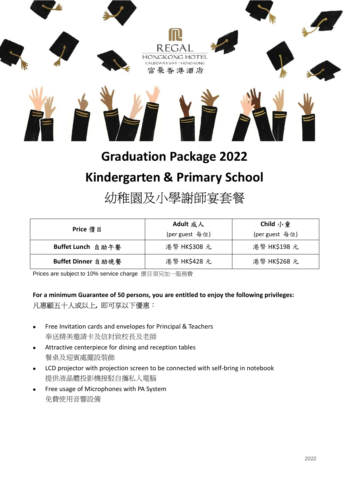

# **Graduation Package 2022**

### **Kindergarten & Primary School**

## 幼稚園及小學謝師宴套餐

| Price 價 目          | Adult 成人       | Child 小童       |
|--------------------|----------------|----------------|
|                    | (per guest 每位) | (per guest 每位) |
| Buffet Lunch 自助午餐  | 港幣 HK\$308 元   | 港幣 HK\$198 元   |
| Buffet Dinner 自助晚餐 | 港幣 HK\$428 元   | 港幣 HK\$268 元   |

Prices are subject to 10% service charge 價目須另加一服務費

#### **For a minimum Guarantee of 50 persons, you are entitled to enjoy the following privileges:**  凡惠顧五十人或以上**,** 即可享以下優惠:

- Free Invitation cards and envelopes for Principal & Teachers 奉送精美邀請卡及信封致校長及老師
- Attractive centerpiece for dining and reception tables 餐桌及迎賓處擺設裝飾
- LCD projector with projection screen to be connected with self-bring in notebook 提供液晶體投影機接駁自攜私人電腦
- Free usage of Microphones with PA System 免費使用音響設備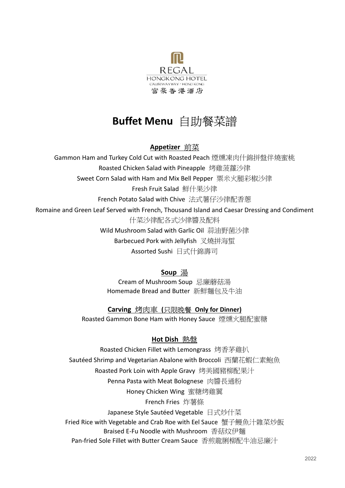

### **Buffet Menu** 自助餐菜譜

#### **Appetizer** 前菜

Gammon Ham and Turkey Cold Cut with Roasted Peach 煙燻凍肉什錦拼盤伴燒蜜桃

Roasted Chicken Salad with Pineapple 烤雞菠蘿沙律

Sweet Corn Salad with Ham and Mix Bell Pepper 粟米火腿彩椒沙律

Fresh Fruit Salad 鮮什果沙律

French Potato Salad with Chive 法式薯仔沙律配香蔥

Romaine and Green Leaf Served with French, Thousand Island and Caesar Dressing and Condiment

什菜沙律配各式沙律醬及配料

Wild Mushroom Salad with Garlic Oil 蒜油野菌沙律

Barbecued Pork with Jellyfish 叉燒拼海蜇

Assorted Sushi 日式什錦壽司

#### **Soup** 湯

Cream of Mushroom Soup 忌廉蘑菇湯 Homemade Bread and Butter 新鮮麵包及牛油

#### **Carving** 烤肉車 **(**只限晚餐 **Only for Dinner)**

Roasted Gammon Bone Ham with Honey Sauce 煙燻火腿配蜜糖

#### **Hot Dish** 熱盤

Roasted Chicken Fillet with Lemongrass 烤香茅雞扒 Sautéed Shrimp and Vegetarian Abalone with Broccoli 西蘭花蝦仁素鮑魚 Roasted Pork Loin with Apple Gravy 烤美國豬柳配果汁 Penna Pasta with Meat Bolognese 肉醬長通粉 Honey Chicken Wing 蜜糖烤雞翼 French Fries 炸薯條 Japanese Style Sautéed Vegetable 日式炒什菜 Fried Rice with Vegetable and Crab Roe with Eel Sauce 蟹子鰻魚汁雜菜炒飯 Braised E-Fu Noodle with Mushroom 香菇炆伊麵 Pan-fried Sole Fillet with Butter Cream Sauce 香煎龍脷柳配牛油忌廉汁